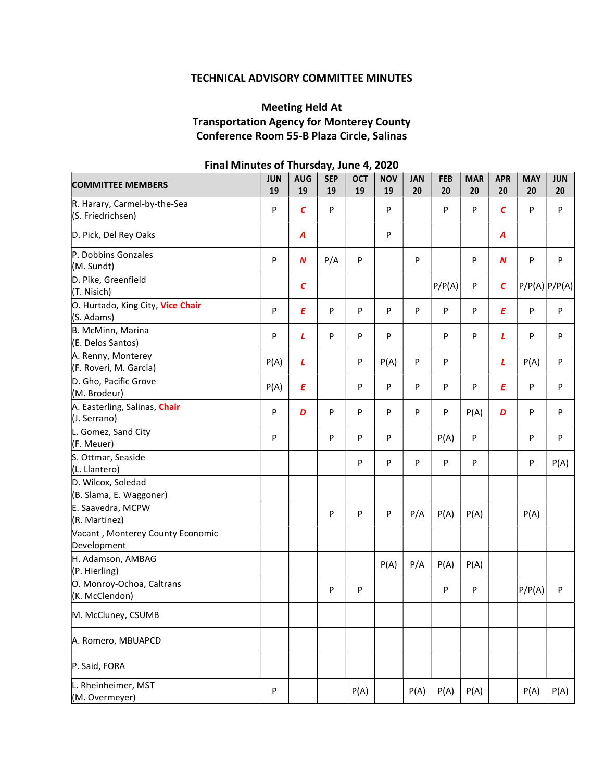# TECHNICAL ADVISORY COMMITTEE MINUTES

# Meeting Held At Transportation Agency for Monterey County Conference Room 55-B Plaza Circle, Salinas

| <b>COMMITTEE MEMBERS</b>                          | <b>JUN</b><br>19 | <b>AUG</b><br>19 | ,,<br><b>SEP</b><br>19 | <b>OCT</b><br>19 | <b>NOV</b><br>19 | <b>JAN</b><br>20 | <b>FEB</b><br>20 | <b>MAR</b><br>20 | <b>APR</b><br>20 | <b>MAY</b><br>20 | <b>JUN</b><br>20 |
|---------------------------------------------------|------------------|------------------|------------------------|------------------|------------------|------------------|------------------|------------------|------------------|------------------|------------------|
| R. Harary, Carmel-by-the-Sea<br>(S. Friedrichsen) | P                | C                | P                      |                  | P                |                  | P                | P                | C                | P                | P                |
| D. Pick, Del Rey Oaks                             |                  | A                |                        |                  | P                |                  |                  |                  | Α                |                  |                  |
| P. Dobbins Gonzales<br>(M. Sundt)                 | P                | $\boldsymbol{N}$ | P/A                    | P                |                  | P                |                  | P                | N                | P                | P                |
| D. Pike, Greenfield<br>(T. Nisich)                |                  | C                |                        |                  |                  |                  | P/P(A)           | P                | $\epsilon$       | P/P(A) P/P(A)    |                  |
| O. Hurtado, King City, Vice Chair<br>(S. Adams)   | P                | E                | P                      | P                | P                | P                | P                | P                | Ε                | $\mathsf{P}$     | P                |
| B. McMinn, Marina<br>(E. Delos Santos)            | P                | L                | P                      | P                | P                |                  | P                | P                | L                | P                | P                |
| A. Renny, Monterey<br>(F. Roveri, M. Garcia)      | P(A)             | L                |                        | P                | P(A)             | P                | P                |                  | L                | P(A)             | P                |
| D. Gho, Pacific Grove<br>(M. Brodeur)             | P(A)             | Ε                |                        | P                | P                | P                | P                | P                | Ε                | P                | P                |
| A. Easterling, Salinas, Chair<br>(J. Serrano)     | P                | D                | P                      | P                | P                | P                | P                | P(A)             | D                | P                | P                |
| L. Gomez, Sand City<br>(F. Meuer)                 | P                |                  | P                      | P                | P                |                  | P(A)             | P                |                  | P                | P                |
| S. Ottmar, Seaside<br>(L. Llantero)               |                  |                  |                        | P                | P                | P                | P                | P                |                  | P                | P(A)             |
| D. Wilcox, Soledad<br>(B. Slama, E. Waggoner)     |                  |                  |                        |                  |                  |                  |                  |                  |                  |                  |                  |
| E. Saavedra, MCPW<br>(R. Martinez)                |                  |                  | P                      | P                | P                | P/A              | P(A)             | P(A)             |                  | P(A)             |                  |
| Vacant, Monterey County Economic<br>Development   |                  |                  |                        |                  |                  |                  |                  |                  |                  |                  |                  |
| H. Adamson, AMBAG<br>(P. Hierling)                |                  |                  |                        |                  | P(A)             | P/A              | P(A)             | P(A)             |                  |                  |                  |
| O. Monroy-Ochoa, Caltrans<br>(K. McClendon)       |                  |                  | P                      | P                |                  |                  | P                | P                |                  | P/P(A)           | P                |
| M. McCluney, CSUMB                                |                  |                  |                        |                  |                  |                  |                  |                  |                  |                  |                  |
| A. Romero, MBUAPCD                                |                  |                  |                        |                  |                  |                  |                  |                  |                  |                  |                  |
| P. Said, FORA                                     |                  |                  |                        |                  |                  |                  |                  |                  |                  |                  |                  |
| L. Rheinheimer, MST<br>(M. Overmeyer)             | P                |                  |                        | P(A)             |                  | P(A)             | P(A)             | P(A)             |                  | P(A)             | P(A)             |

## Final Minutes of Thursday, June 4, 2020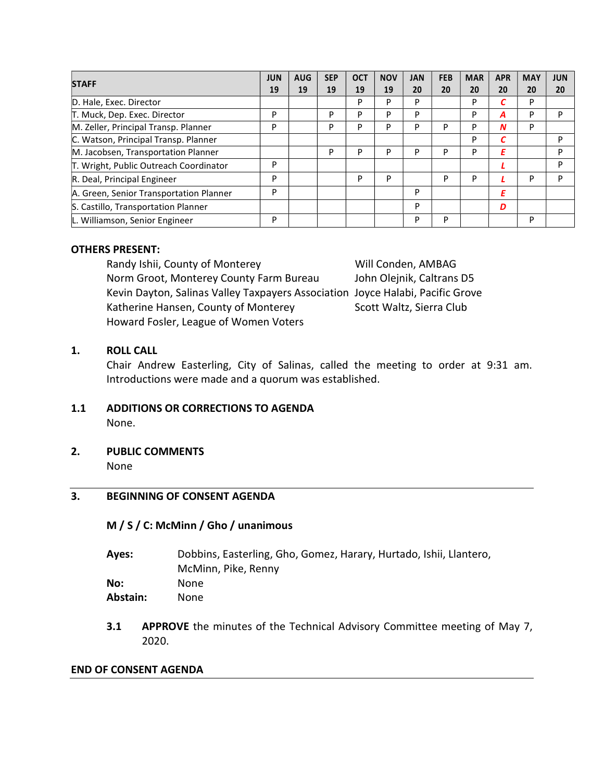| <b>STAFF</b>                            | <b>JUN</b> | <b>AUG</b> | <b>SEP</b> | <b>OCT</b> | <b>NOV</b> | <b>JAN</b> | <b>FEB</b> | <b>MAR</b> | <b>APR</b> | <b>MAY</b> | <b>JUN</b> |
|-----------------------------------------|------------|------------|------------|------------|------------|------------|------------|------------|------------|------------|------------|
|                                         | 19         | 19         | 19         | 19         | 19         | 20         | 20         | 20         | 20         | 20         | 20         |
| D. Hale, Exec. Director                 |            |            |            | D          | D          | D          |            | D          |            | D          |            |
| T. Muck, Dep. Exec. Director            | D          |            | D          | D          | D          | D          |            | D          | A          | D          | D          |
| M. Zeller, Principal Transp. Planner    | D          |            | D          | D          | D          |            | D          | D          |            | P          |            |
| C. Watson, Principal Transp. Planner    |            |            |            |            |            |            |            | P          |            |            | D          |
| M. Jacobsen, Transportation Planner     |            |            | D          | D          |            |            |            | D          |            |            | D          |
| T. Wright, Public Outreach Coordinator  | D          |            |            |            |            |            |            |            |            |            | D          |
| R. Deal, Principal Engineer             | D          |            |            | P          | P          |            | P          | D          |            | D          | D          |
| A. Green, Senior Transportation Planner | D          |            |            |            |            | D          |            |            | Ε          |            |            |
| S. Castillo, Transportation Planner     |            |            |            |            |            | D          |            |            | D          |            |            |
| L. Williamson, Senior Engineer          | D          |            |            |            |            | D          | D          |            |            | P          |            |

## OTHERS PRESENT:

Randy Ishii, County of Monterey Will Conden, AMBAG Norm Groot, Monterey County Farm Bureau John Olejnik, Caltrans D5 Kevin Dayton, Salinas Valley Taxpayers Association Joyce Halabi, Pacific Grove Katherine Hansen, County of Monterey Scott Waltz, Sierra Club Howard Fosler, League of Women Voters

## 1. ROLL CALL

Chair Andrew Easterling, City of Salinas, called the meeting to order at 9:31 am. Introductions were made and a quorum was established.

### 1.1 ADDITIONS OR CORRECTIONS TO AGENDA None.

2. PUBLIC COMMENTS

None

## 3. BEGINNING OF CONSENT AGENDA

#### M / S / C: McMinn / Gho / unanimous

| Dobbins, Easterling, Gho, Gomez, Harary, Hurtado, Ishii, Llantero, |
|--------------------------------------------------------------------|
| McMinn, Pike, Renny                                                |
| None.                                                              |
| None.                                                              |
|                                                                    |

**3.1 APPROVE** the minutes of the Technical Advisory Committee meeting of May 7, 2020.

#### END OF CONSENT AGENDA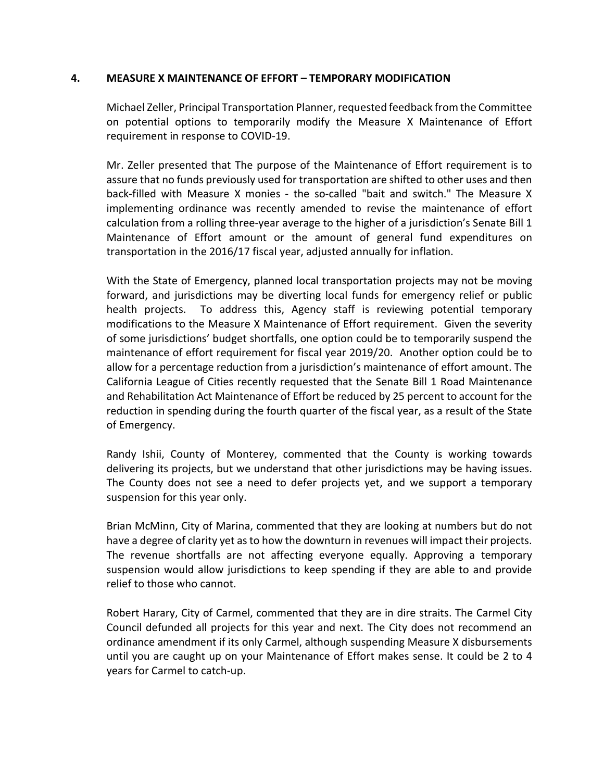## 4. MEASURE X MAINTENANCE OF EFFORT – TEMPORARY MODIFICATION

Michael Zeller, Principal Transportation Planner, requested feedback from the Committee on potential options to temporarily modify the Measure X Maintenance of Effort requirement in response to COVID-19.

Mr. Zeller presented that The purpose of the Maintenance of Effort requirement is to assure that no funds previously used for transportation are shifted to other uses and then back-filled with Measure X monies - the so-called "bait and switch." The Measure X implementing ordinance was recently amended to revise the maintenance of effort calculation from a rolling three-year average to the higher of a jurisdiction's Senate Bill 1 Maintenance of Effort amount or the amount of general fund expenditures on transportation in the 2016/17 fiscal year, adjusted annually for inflation.

With the State of Emergency, planned local transportation projects may not be moving forward, and jurisdictions may be diverting local funds for emergency relief or public health projects. To address this, Agency staff is reviewing potential temporary modifications to the Measure X Maintenance of Effort requirement. Given the severity of some jurisdictions' budget shortfalls, one option could be to temporarily suspend the maintenance of effort requirement for fiscal year 2019/20. Another option could be to allow for a percentage reduction from a jurisdiction's maintenance of effort amount. The California League of Cities recently requested that the Senate Bill 1 Road Maintenance and Rehabilitation Act Maintenance of Effort be reduced by 25 percent to account for the reduction in spending during the fourth quarter of the fiscal year, as a result of the State of Emergency.

Randy Ishii, County of Monterey, commented that the County is working towards delivering its projects, but we understand that other jurisdictions may be having issues. The County does not see a need to defer projects yet, and we support a temporary suspension for this year only.

Brian McMinn, City of Marina, commented that they are looking at numbers but do not have a degree of clarity yet as to how the downturn in revenues will impact their projects. The revenue shortfalls are not affecting everyone equally. Approving a temporary suspension would allow jurisdictions to keep spending if they are able to and provide relief to those who cannot.

Robert Harary, City of Carmel, commented that they are in dire straits. The Carmel City Council defunded all projects for this year and next. The City does not recommend an ordinance amendment if its only Carmel, although suspending Measure X disbursements until you are caught up on your Maintenance of Effort makes sense. It could be 2 to 4 years for Carmel to catch-up.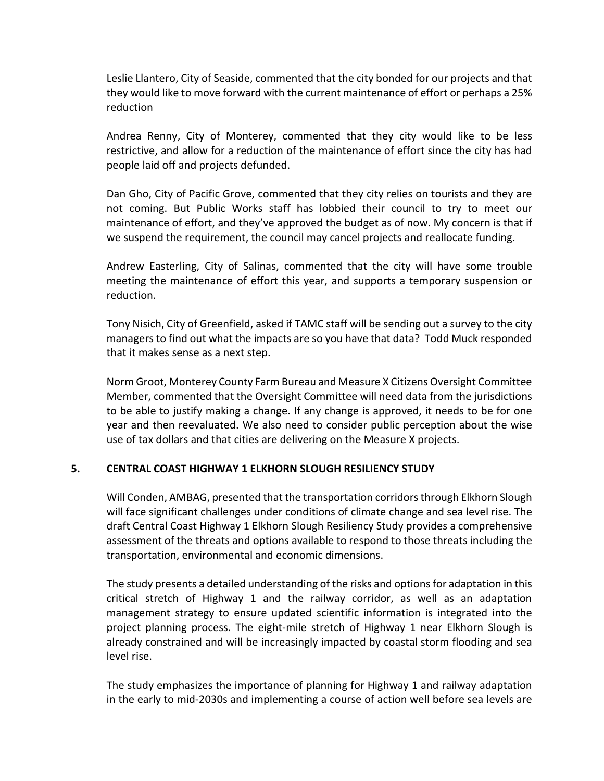Leslie Llantero, City of Seaside, commented that the city bonded for our projects and that they would like to move forward with the current maintenance of effort or perhaps a 25% reduction

Andrea Renny, City of Monterey, commented that they city would like to be less restrictive, and allow for a reduction of the maintenance of effort since the city has had people laid off and projects defunded.

Dan Gho, City of Pacific Grove, commented that they city relies on tourists and they are not coming. But Public Works staff has lobbied their council to try to meet our maintenance of effort, and they've approved the budget as of now. My concern is that if we suspend the requirement, the council may cancel projects and reallocate funding.

Andrew Easterling, City of Salinas, commented that the city will have some trouble meeting the maintenance of effort this year, and supports a temporary suspension or reduction.

Tony Nisich, City of Greenfield, asked if TAMC staff will be sending out a survey to the city managers to find out what the impacts are so you have that data? Todd Muck responded that it makes sense as a next step.

Norm Groot, Monterey County Farm Bureau and Measure X Citizens Oversight Committee Member, commented that the Oversight Committee will need data from the jurisdictions to be able to justify making a change. If any change is approved, it needs to be for one year and then reevaluated. We also need to consider public perception about the wise use of tax dollars and that cities are delivering on the Measure X projects.

## 5. CENTRAL COAST HIGHWAY 1 ELKHORN SLOUGH RESILIENCY STUDY

Will Conden, AMBAG, presented that the transportation corridors through Elkhorn Slough will face significant challenges under conditions of climate change and sea level rise. The draft Central Coast Highway 1 Elkhorn Slough Resiliency Study provides a comprehensive assessment of the threats and options available to respond to those threats including the transportation, environmental and economic dimensions.

The study presents a detailed understanding of the risks and options for adaptation in this critical stretch of Highway 1 and the railway corridor, as well as an adaptation management strategy to ensure updated scientific information is integrated into the project planning process. The eight-mile stretch of Highway 1 near Elkhorn Slough is already constrained and will be increasingly impacted by coastal storm flooding and sea level rise.

The study emphasizes the importance of planning for Highway 1 and railway adaptation in the early to mid-2030s and implementing a course of action well before sea levels are